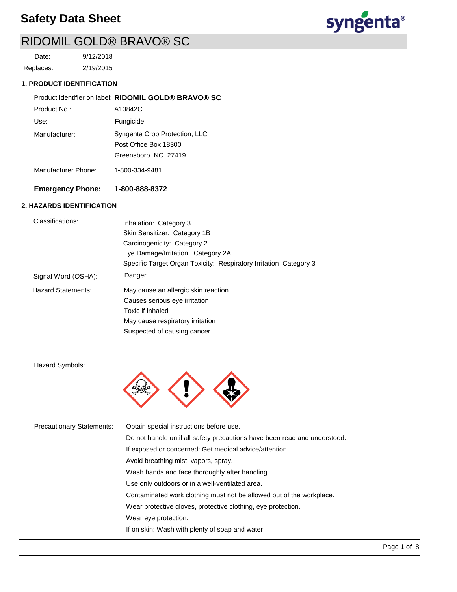# **Safety Data Sheet**



# RIDOMIL GOLD® BRAVO® SC

2/19/2015 9/12/2018 Replaces: Date:

### **1. PRODUCT IDENTIFICATION**

|                     | Product identifier on label: RIDOMIL GOLD® BRAVO® SC                          |
|---------------------|-------------------------------------------------------------------------------|
| Product No.:        | A13842C                                                                       |
| Use:                | Fungicide                                                                     |
| Manufacturer:       | Syngenta Crop Protection, LLC<br>Post Office Box 18300<br>Greensboro NC 27419 |
| Manufacturer Phone: | 1-800-334-9481                                                                |

# **Emergency Phone: 1-800-888-8372**

## **2. HAZARDS IDENTIFICATION**

| Classifications:          | Inhalation: Category 3                                            |
|---------------------------|-------------------------------------------------------------------|
|                           | Skin Sensitizer: Category 1B                                      |
|                           | Carcinogenicity: Category 2                                       |
|                           | Eye Damage/Irritation: Category 2A                                |
|                           | Specific Target Organ Toxicity: Respiratory Irritation Category 3 |
| Signal Word (OSHA):       | Danger                                                            |
| <b>Hazard Statements:</b> | May cause an allergic skin reaction                               |
|                           | Causes serious eye irritation                                     |
|                           | Toxic if inhaled                                                  |
|                           | May cause respiratory irritation                                  |
|                           | Suspected of causing cancer                                       |

Hazard Symbols:



| <b>Precautionary Statements:</b> | Obtain special instructions before use.                                   |
|----------------------------------|---------------------------------------------------------------------------|
|                                  | Do not handle until all safety precautions have been read and understood. |
|                                  | If exposed or concerned: Get medical advice/attention.                    |
|                                  | Avoid breathing mist, vapors, spray.                                      |
|                                  | Wash hands and face thoroughly after handling.                            |
|                                  | Use only outdoors or in a well-ventilated area.                           |
|                                  | Contaminated work clothing must not be allowed out of the workplace.      |
|                                  | Wear protective gloves, protective clothing, eye protection.              |
|                                  | Wear eye protection.                                                      |
|                                  | If on skin: Wash with plenty of soap and water.                           |
|                                  |                                                                           |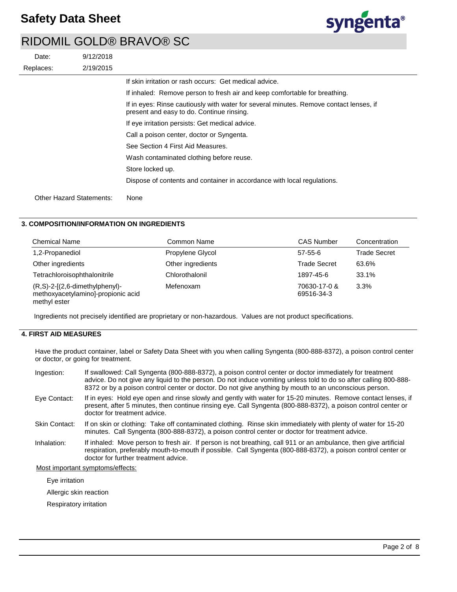

| Date:                           | 9/12/2018 |                                                                                                                                     |
|---------------------------------|-----------|-------------------------------------------------------------------------------------------------------------------------------------|
| Replaces:                       | 2/19/2015 |                                                                                                                                     |
|                                 |           | If skin irritation or rash occurs: Get medical advice.                                                                              |
|                                 |           | If inhaled: Remove person to fresh air and keep comfortable for breathing.                                                          |
|                                 |           | If in eyes: Rinse cautiously with water for several minutes. Remove contact lenses, if<br>present and easy to do. Continue rinsing. |
|                                 |           | If eye irritation persists: Get medical advice.                                                                                     |
|                                 |           | Call a poison center, doctor or Syngenta.                                                                                           |
|                                 |           | See Section 4 First Aid Measures.                                                                                                   |
|                                 |           | Wash contaminated clothing before reuse.                                                                                            |
|                                 |           | Store locked up.                                                                                                                    |
|                                 |           | Dispose of contents and container in accordance with local regulations.                                                             |
| <b>Other Hazard Statements:</b> |           | None                                                                                                                                |

## **3. COMPOSITION/INFORMATION ON INGREDIENTS**

| <b>Chemical Name</b>                                                                    | Common Name       | <b>CAS Number</b>          | Concentration       |
|-----------------------------------------------------------------------------------------|-------------------|----------------------------|---------------------|
| 1,2-Propanediol                                                                         | Propylene Glycol  | $57-55-6$                  | <b>Trade Secret</b> |
| Other ingredients                                                                       | Other ingredients | <b>Trade Secret</b>        | 63.6%               |
| Tetrachloroisophthalonitrile                                                            | Chlorothalonil    | 1897-45-6                  | 33.1%               |
| $(R, S)-2-[2, 6-dimethylphenyl)-$<br>methoxyacetylamino]-propionic acid<br>methyl ester | Mefenoxam         | 70630-17-0 &<br>69516-34-3 | 3.3%                |

Ingredients not precisely identified are proprietary or non-hazardous. Values are not product specifications.

## **4. FIRST AID MEASURES**

Have the product container, label or Safety Data Sheet with you when calling Syngenta (800-888-8372), a poison control center or doctor, or going for treatment.

| Ingestion:                                                                                                                                                                                                                                                                              | If swallowed: Call Syngenta (800-888-8372), a poison control center or doctor immediately for treatment<br>advice. Do not give any liquid to the person. Do not induce vomiting unless told to do so after calling 800-888-<br>8372 or by a poison control center or doctor. Do not give anything by mouth to an unconscious person. |  |
|-----------------------------------------------------------------------------------------------------------------------------------------------------------------------------------------------------------------------------------------------------------------------------------------|--------------------------------------------------------------------------------------------------------------------------------------------------------------------------------------------------------------------------------------------------------------------------------------------------------------------------------------|--|
| Eye Contact:                                                                                                                                                                                                                                                                            | If in eyes: Hold eye open and rinse slowly and gently with water for 15-20 minutes. Remove contact lenses, if<br>present, after 5 minutes, then continue rinsing eye. Call Syngenta (800-888-8372), a poison control center or<br>doctor for treatment advice.                                                                       |  |
| Skin Contact:                                                                                                                                                                                                                                                                           | If on skin or clothing: Take off contaminated clothing. Rinse skin immediately with plenty of water for 15-20<br>minutes. Call Syngenta (800-888-8372), a poison control center or doctor for treatment advice.                                                                                                                      |  |
| If inhaled: Move person to fresh air. If person is not breathing, call 911 or an ambulance, then give artificial<br>Inhalation:<br>respiration, preferably mouth-to-mouth if possible. Call Syngenta (800-888-8372), a poison control center or<br>doctor for further treatment advice. |                                                                                                                                                                                                                                                                                                                                      |  |
| Most important symptoms/effects:                                                                                                                                                                                                                                                        |                                                                                                                                                                                                                                                                                                                                      |  |

Eye irritation

Allergic skin reaction

Respiratory irritation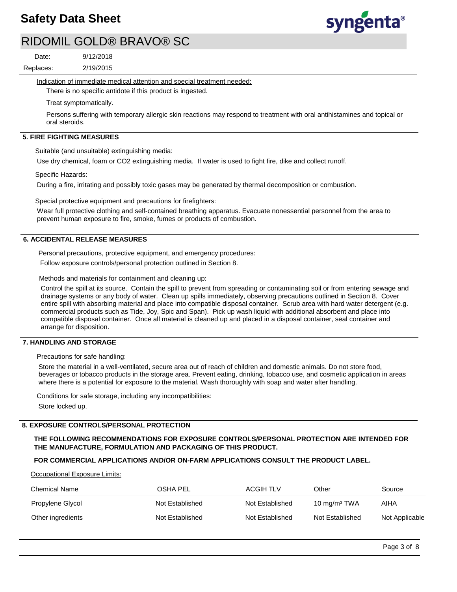

2/19/2015 9/12/2018 Replaces: Date:

Indication of immediate medical attention and special treatment needed:

There is no specific antidote if this product is ingested.

Treat symptomatically.

Persons suffering with temporary allergic skin reactions may respond to treatment with oral antihistamines and topical or oral steroids.

### **5. FIRE FIGHTING MEASURES**

Suitable (and unsuitable) extinguishing media:

Use dry chemical, foam or CO2 extinguishing media. If water is used to fight fire, dike and collect runoff.

Specific Hazards:

During a fire, irritating and possibly toxic gases may be generated by thermal decomposition or combustion.

Special protective equipment and precautions for firefighters:

Wear full protective clothing and self-contained breathing apparatus. Evacuate nonessential personnel from the area to prevent human exposure to fire, smoke, fumes or products of combustion.

#### **6. ACCIDENTAL RELEASE MEASURES**

Personal precautions, protective equipment, and emergency procedures:

Follow exposure controls/personal protection outlined in Section 8.

Methods and materials for containment and cleaning up:

Control the spill at its source. Contain the spill to prevent from spreading or contaminating soil or from entering sewage and drainage systems or any body of water. Clean up spills immediately, observing precautions outlined in Section 8. Cover entire spill with absorbing material and place into compatible disposal container. Scrub area with hard water detergent (e.g. commercial products such as Tide, Joy, Spic and Span). Pick up wash liquid with additional absorbent and place into compatible disposal container. Once all material is cleaned up and placed in a disposal container, seal container and arrange for disposition.

#### **7. HANDLING AND STORAGE**

Precautions for safe handling:

Store the material in a well-ventilated, secure area out of reach of children and domestic animals. Do not store food, beverages or tobacco products in the storage area. Prevent eating, drinking, tobacco use, and cosmetic application in areas where there is a potential for exposure to the material. Wash thoroughly with soap and water after handling.

Conditions for safe storage, including any incompatibilities: Store locked up.

## **8. EXPOSURE CONTROLS/PERSONAL PROTECTION**

## **THE FOLLOWING RECOMMENDATIONS FOR EXPOSURE CONTROLS/PERSONAL PROTECTION ARE INTENDED FOR THE MANUFACTURE, FORMULATION AND PACKAGING OF THIS PRODUCT.**

## **FOR COMMERCIAL APPLICATIONS AND/OR ON-FARM APPLICATIONS CONSULT THE PRODUCT LABEL.**

Occupational Exposure Limits:

| <b>Chemical Name</b> | OSHA PEL        | ACGIH TLV       | Other                    | Source         |
|----------------------|-----------------|-----------------|--------------------------|----------------|
| Propylene Glycol     | Not Established | Not Established | 10 mg/m <sup>3</sup> TWA | AIHA           |
| Other ingredients    | Not Established | Not Established | Not Established          | Not Applicable |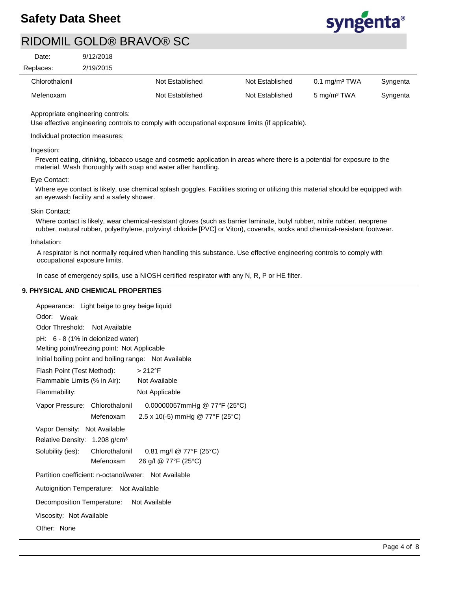

| Date:     | 9/12/2018 |
|-----------|-----------|
| Replaces: | 2/19/2015 |

| Chlorothalonil | Not Established | Not Established | $0.1$ mg/m <sup>3</sup> TWA | Syngenta |
|----------------|-----------------|-----------------|-----------------------------|----------|
| Mefenoxam      | Not Established | Not Established | 5 mg/m <sup>3</sup> TWA     | Syngenta |

## Appropriate engineering controls:

Use effective engineering controls to comply with occupational exposure limits (if applicable).

## Individual protection measures:

## Ingestion:

Prevent eating, drinking, tobacco usage and cosmetic application in areas where there is a potential for exposure to the material. Wash thoroughly with soap and water after handling.

#### Eye Contact:

Where eye contact is likely, use chemical splash goggles. Facilities storing or utilizing this material should be equipped with an eyewash facility and a safety shower.

#### Skin Contact:

Where contact is likely, wear chemical-resistant gloves (such as barrier laminate, butyl rubber, nitrile rubber, neoprene rubber, natural rubber, polyethylene, polyvinyl chloride [PVC] or Viton), coveralls, socks and chemical-resistant footwear.

#### Inhalation:

A respirator is not normally required when handling this substance. Use effective engineering controls to comply with occupational exposure limits.

In case of emergency spills, use a NIOSH certified respirator with any N, R, P or HE filter.

### **9. PHYSICAL AND CHEMICAL PROPERTIES**

| Appearance: Light beige to grey beige liquid                   |  |  |
|----------------------------------------------------------------|--|--|
| Odor:<br>Weak                                                  |  |  |
| Odor Threshold: Not Available                                  |  |  |
| pH: 6 - 8 (1% in deionized water)                              |  |  |
| Melting point/freezing point: Not Applicable                   |  |  |
| Initial boiling point and boiling range: Not Available         |  |  |
| Flash Point (Test Method):<br>$>212^{\circ}F$                  |  |  |
| Flammable Limits (% in Air):<br>Not Available                  |  |  |
| Flammability:<br>Not Applicable                                |  |  |
| Vapor Pressure: Chlorothalonil<br>0.00000057mmHg @ 77°F (25°C) |  |  |
| 2.5 x 10(-5) mmHg @ 77°F (25°C)<br>Mefenoxam                   |  |  |
| Vapor Density: Not Available                                   |  |  |
| Relative Density: 1.208 g/cm <sup>3</sup>                      |  |  |
| 0.81 mg/l @ 77°F (25°C)<br>Solubility (ies): Chlorothalonil    |  |  |
| 26 g/l @ 77°F (25°C)<br>Mefenoxam                              |  |  |
| Partition coefficient: n-octanol/water: Not Available          |  |  |
| Autoignition Temperature: Not Available                        |  |  |
| Decomposition Temperature: Not Available                       |  |  |
| Viscosity: Not Available                                       |  |  |
| Other: None                                                    |  |  |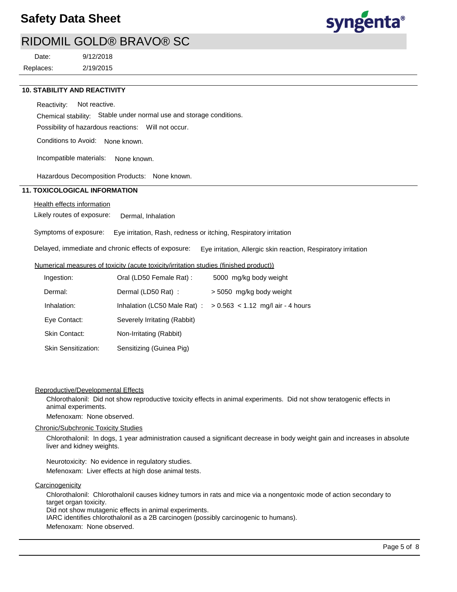

2/19/2015 9/12/2018 Replaces: Date:

#### **10. STABILITY AND REACTIVITY**

Reactivity: Not reactive.

Chemical stability: Stable under normal use and storage conditions.

Possibility of hazardous reactions: Will not occur.

Conditions to Avoid: None known.

Incompatible materials: None known.

Hazardous Decomposition Products: None known.

## **11. TOXICOLOGICAL INFORMATION**

#### Health effects information

Likely routes of exposure: Dermal, Inhalation

Symptoms of exposure: Eye irritation, Rash, redness or itching, Respiratory irritation

Delayed, immediate and chronic effects of exposure: Eye irritation, Allergic skin reaction, Respiratory irritation

#### Numerical measures of toxicity (acute toxicity/irritation studies (finished product))

| Ingestion:                               | Oral (LD50 Female Rat) :     | 5000 mg/kg body weight              |
|------------------------------------------|------------------------------|-------------------------------------|
| Dermal:                                  | Dermal (LD50 Rat):           | > 5050 mg/kg body weight            |
| Inhalation:                              | Inhalation (LC50 Male Rat):  | $> 0.563$ < 1.12 mg/l air - 4 hours |
| Eye Contact:                             | Severely Irritating (Rabbit) |                                     |
| Skin Contact:<br>Non-Irritating (Rabbit) |                              |                                     |
| <b>Skin Sensitization:</b>               | Sensitizing (Guinea Pig)     |                                     |

#### Reproductive/Developmental Effects

Chlorothalonil: Did not show reproductive toxicity effects in animal experiments. Did not show teratogenic effects in animal experiments.

Mefenoxam: None observed.

#### Chronic/Subchronic Toxicity Studies

Chlorothalonil: In dogs, 1 year administration caused a significant decrease in body weight gain and increases in absolute liver and kidney weights.

Neurotoxicity: No evidence in regulatory studies. Mefenoxam: Liver effects at high dose animal tests.

**Carcinogenicity** 

Chlorothalonil: Chlorothalonil causes kidney tumors in rats and mice via a nongentoxic mode of action secondary to target organ toxicity.

Did not show mutagenic effects in animal experiments.

IARC identifies chlorothalonil as a 2B carcinogen (possibly carcinogenic to humans).

Mefenoxam: None observed.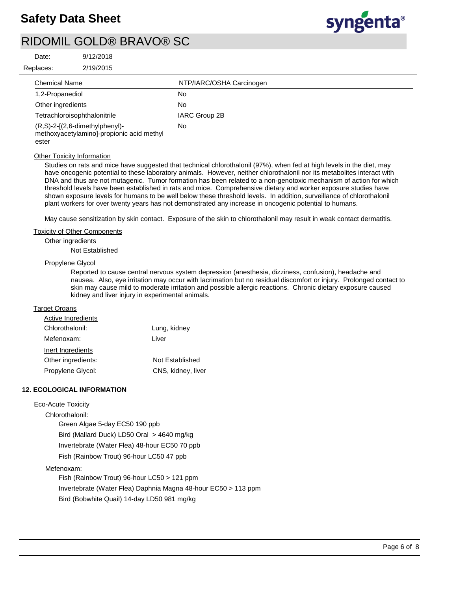

| Date:     | 9/12/2018 |  |
|-----------|-----------|--|
| Ranlaces. | 2/10/2015 |  |

| Replaces:            | 2/19/2015                                                                      |                          |  |
|----------------------|--------------------------------------------------------------------------------|--------------------------|--|
| <b>Chemical Name</b> |                                                                                | NTP/IARC/OSHA Carcinogen |  |
| 1,2-Propanediol      |                                                                                | No                       |  |
| Other ingredients    |                                                                                | No                       |  |
|                      | Tetrachloroisophthalonitrile                                                   | IARC Group 2B            |  |
| ester                | $(R, S)-2-[2, 6-dimethylphenyl)-$<br>methoxyacetylamino]-propionic acid methyl | No                       |  |

## **Other Toxicity Information**

Studies on rats and mice have suggested that technical chlorothalonil (97%), when fed at high levels in the diet, may have oncogenic potential to these laboratory animals. However, neither chlorothalonil nor its metabolites interact with DNA and thus are not mutagenic. Tumor formation has been related to a non-genotoxic mechanism of action for which threshold levels have been established in rats and mice. Comprehensive dietary and worker exposure studies have shown exposure levels for humans to be well below these threshold levels. In addition, surveillance of chlorothalonil plant workers for over twenty years has not demonstrated any increase in oncogenic potential to humans.

May cause sensitization by skin contact. Exposure of the skin to chlorothalonil may result in weak contact dermatitis.

#### Toxicity of Other Components

Other ingredients

Not Established

### Propylene Glycol

Reported to cause central nervous system depression (anesthesia, dizziness, confusion), headache and nausea. Also, eye irritation may occur with lacrimation but no residual discomfort or injury. Prolonged contact to skin may cause mild to moderate irritation and possible allergic reactions. Chronic dietary exposure caused kidney and liver injury in experimental animals.

#### **Target Organs**

| Active Ingredients |                    |
|--------------------|--------------------|
| Chlorothalonil:    | Lung, kidney       |
| Mefenoxam:         | Liver              |
| Inert Ingredients  |                    |
| Other ingredients: | Not Established    |
| Propylene Glycol:  | CNS, kidney, liver |
|                    |                    |

## **12. ECOLOGICAL INFORMATION**

#### Eco-Acute Toxicity

Chlorothalonil:

Green Algae 5-day EC50 190 ppb Bird (Mallard Duck) LD50 Oral > 4640 mg/kg Invertebrate (Water Flea) 48-hour EC50 70 ppb Fish (Rainbow Trout) 96-hour LC50 47 ppb

#### Mefenoxam:

Fish (Rainbow Trout) 96-hour LC50 > 121 ppm Invertebrate (Water Flea) Daphnia Magna 48-hour EC50 > 113 ppm Bird (Bobwhite Quail) 14-day LD50 981 mg/kg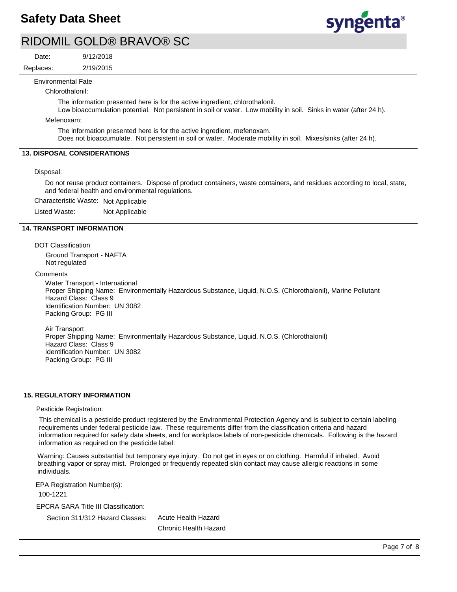

Date:

2/19/2015 9/12/2018 Replaces:

Environmental Fate

Chlorothalonil:

The information presented here is for the active ingredient, chlorothalonil.

Low bioaccumulation potential. Not persistent in soil or water. Low mobility in soil. Sinks in water (after 24 h).

Mefenoxam:

The information presented here is for the active ingredient, mefenoxam. Does not bioaccumulate. Not persistent in soil or water. Moderate mobility in soil. Mixes/sinks (after 24 h).

## **13. DISPOSAL CONSIDERATIONS**

Disposal:

Do not reuse product containers. Dispose of product containers, waste containers, and residues according to local, state, and federal health and environmental regulations.

Characteristic Waste: Not Applicable

Listed Waste: Not Applicable

#### **14. TRANSPORT INFORMATION**

DOT Classification Ground Transport - NAFTA Not regulated

**Comments** 

Water Transport - International Proper Shipping Name: Environmentally Hazardous Substance, Liquid, N.O.S. (Chlorothalonil), Marine Pollutant Hazard Class: Class 9 Identification Number: UN 3082 Packing Group: PG III

Air Transport Proper Shipping Name: Environmentally Hazardous Substance, Liquid, N.O.S. (Chlorothalonil) Hazard Class: Class 9 Identification Number: UN 3082 Packing Group: PG III

#### **15. REGULATORY INFORMATION**

Pesticide Registration:

This chemical is a pesticide product registered by the Environmental Protection Agency and is subject to certain labeling requirements under federal pesticide law. These requirements differ from the classification criteria and hazard information required for safety data sheets, and for workplace labels of non-pesticide chemicals. Following is the hazard information as required on the pesticide label:

Warning: Causes substantial but temporary eye injury. Do not get in eyes or on clothing. Harmful if inhaled. Avoid breathing vapor or spray mist. Prolonged or frequently repeated skin contact may cause allergic reactions in some individuals.

EPA Registration Number(s):

100-1221

EPCRA SARA Title III Classification:

Section 311/312 Hazard Classes:

Acute Health Hazard Chronic Health Hazard